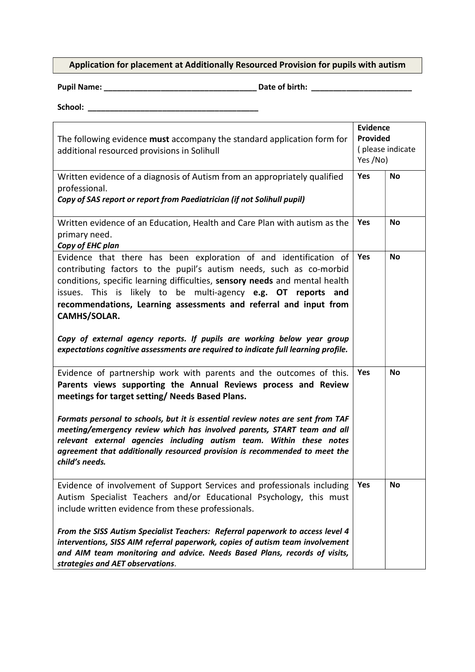## Application for placement at Additionally Resourced Provision for pupils with autism

Pupil Name: \_\_\_\_\_\_\_\_\_\_\_\_\_\_\_\_\_\_\_\_\_\_\_\_\_\_\_\_\_\_\_\_\_\_\_ Date of birth: \_\_\_\_\_\_\_\_\_\_\_\_\_\_\_\_\_\_\_\_\_\_\_

School: \_\_\_\_\_\_\_\_\_\_\_\_\_\_\_\_\_\_\_\_\_\_\_\_\_\_\_\_\_\_\_\_\_\_\_\_\_\_\_

| The following evidence must accompany the standard application form for<br>additional resourced provisions in Solihull                                                                                                                                                                                                                                                                                                                                                                                                                         | <b>Evidence</b><br>Provided<br>(please indicate<br>Yes /No) |           |
|------------------------------------------------------------------------------------------------------------------------------------------------------------------------------------------------------------------------------------------------------------------------------------------------------------------------------------------------------------------------------------------------------------------------------------------------------------------------------------------------------------------------------------------------|-------------------------------------------------------------|-----------|
| Written evidence of a diagnosis of Autism from an appropriately qualified<br>professional.<br>Copy of SAS report or report from Paediatrician (if not Solihull pupil)                                                                                                                                                                                                                                                                                                                                                                          | Yes                                                         | <b>No</b> |
| Written evidence of an Education, Health and Care Plan with autism as the<br>primary need.<br>Copy of EHC plan                                                                                                                                                                                                                                                                                                                                                                                                                                 | Yes                                                         | <b>No</b> |
| Evidence that there has been exploration of and identification of<br>contributing factors to the pupil's autism needs, such as co-morbid<br>conditions, specific learning difficulties, sensory needs and mental health<br>issues. This is likely to be multi-agency e.g. OT reports and<br>recommendations, Learning assessments and referral and input from<br>CAMHS/SOLAR.<br>Copy of external agency reports. If pupils are working below year group<br>expectations cognitive assessments are required to indicate full learning profile. | Yes                                                         | <b>No</b> |
| Evidence of partnership work with parents and the outcomes of this.<br>Parents views supporting the Annual Reviews process and Review<br>meetings for target setting/Needs Based Plans.<br>Formats personal to schools, but it is essential review notes are sent from TAF<br>meeting/emergency review which has involved parents, START team and all<br>relevant external agencies including autism team. Within these notes<br>agreement that additionally resourced provision is recommended to meet the<br>child's needs.                  | Yes                                                         | <b>No</b> |
| Evidence of involvement of Support Services and professionals including<br>Autism Specialist Teachers and/or Educational Psychology, this must<br>include written evidence from these professionals.<br>From the SISS Autism Specialist Teachers: Referral paperwork to access level 4<br>interventions, SISS AIM referral paperwork, copies of autism team involvement<br>and AIM team monitoring and advice. Needs Based Plans, records of visits,<br>strategies and AET observations.                                                       | Yes                                                         | <b>No</b> |